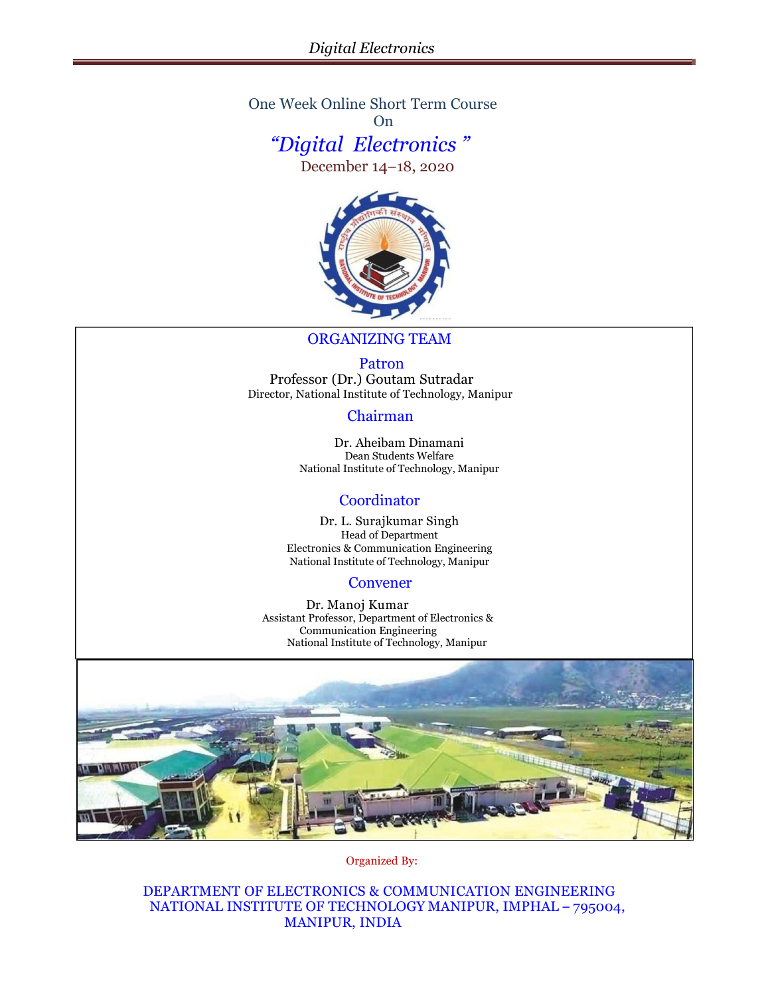One Week Online Short Term Course On

# *"Digital Electronics "*

December 14–18, 2020



# ORGANIZING TEAM

Patron Professor (Dr.) Goutam Sutradar Director, National Institute of Technology, Manipur

## Chairman

Dr. Aheibam Dinamani Dean Students Welfare National Institute of Technology, Manipur

### **Coordinator**

Dr. L. Surajkumar Singh Head of Department Electronics & Communication Engineering National Institute of Technology, Manipur

#### Convener

Dr. Manoj Kumar Assistant Professor, Department of Electronics & Communication Engineering National Institute of Technology, Manipur



Organized By:

DEPARTMENT OF ELECTRONICS & COMMUNICATION ENGINEERING NATIONAL INSTITUTE OF TECHNOLOGY MANIPUR, IMPHAL – 795004, MANIPUR, INDIA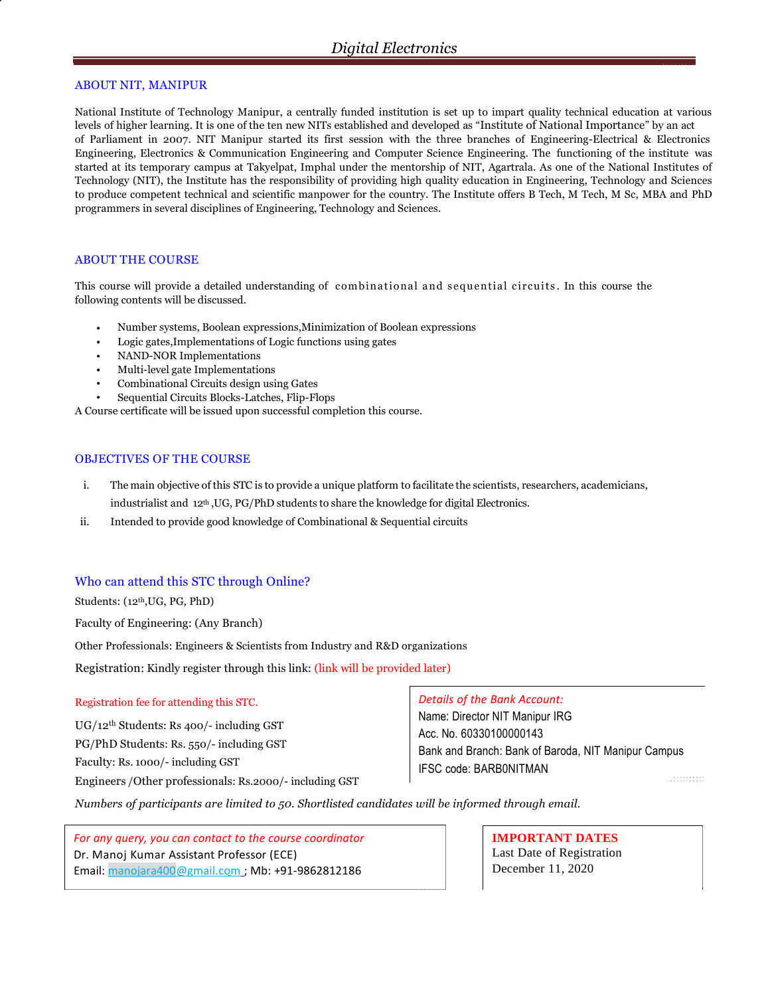#### ABOUT NIT, MANIPUR

National Institute of Technology Manipur, a centrally funded institution is set up to impart quality technical education at various levels of higher learning. It is one of the ten new NITs established and developed as "Institute of National Importance" by an act of Parliament in 2007. NIT Manipur started its first session with the three branches of Engineering-Electrical & Electronics Engineering, Electronics & Communication Engineering and Computer Science Engineering. The functioning of the institute was started at its temporary campus at Takyelpat, Imphal under the mentorship of NIT, Agartrala. As one of the National Institutes of Technology (NIT), the Institute has the responsibility of providing high quality education in Engineering, Technology and Sciences to produce competent technical and scientific manpower for the country. The Institute offers B Tech, M Tech, M Sc, MBA and PhD programmers in several disciplines of Engineering, Technology and Sciences.

#### ABOUT THE COURSE

This course will provide a detailed understanding of combinational and sequential circuits . In this course the following contents will be discussed.

- Number systems, Boolean expressions,Minimization of Boolean expressions
- Logic gates,Implementations of Logic functions using gates
- NAND-NOR Implementations
- Multi-level gate Implementations
- Combinational Circuits design using Gates
- Sequential Circuits Blocks-Latches, Flip-Flops

A Course certificate will be issued upon successful completion this course.

#### OBJECTIVES OF THE COURSE

- i. The main objective of this STC is to provide a unique platform to facilitate the scientists, researchers, academicians, industrialist and 12<sup>th</sup>, UG, PG/PhD students to share the knowledge for digital Electronics.
- ii. Intended to provide good knowledge of Combinational & Sequential circuits

#### Who can attend this STC through Online?

Students: (12th,UG, PG, PhD)

Faculty of Engineering: (Any Branch)

Other Professionals: Engineers & Scientists from Industry and R&D organizations

Registration: Kindly register through this link: (link will be provided later)

#### **Registration fee for attending this STC.** *Details**of the Bank Account:**<b>Details of the Bank Account:*

UG/12th Students: Rs 400/- including GST PG/PhD Students: Rs. 550/- including GST Faculty: Rs. 1000/- including GST Engineers /Other professionals: Rs.2000/- including GST Name: Director NIT Manipur IRG Acc. No. 60330100000143 Bank and Branch: Bank of Baroda, NIT Manipur Campus IFSC code: BARB0NITMAN

*Numbers of participants are limited to 50. Shortlisted candidates will be informed through email.*

*For any query, you can contact to the course coordinator* Dr. Manoj Kumar [A](mailto:thiyam85@gmail.com)ssistant Professor (ECE) Em[ail:](mailto:thiyam85@gmail.com) manojara400@gmail.com [;](mailto:thiyam85@gmail.com) Mb: +91-9862812186

**IMPORTANT DATES** Last Date of Registration December 11, 2020